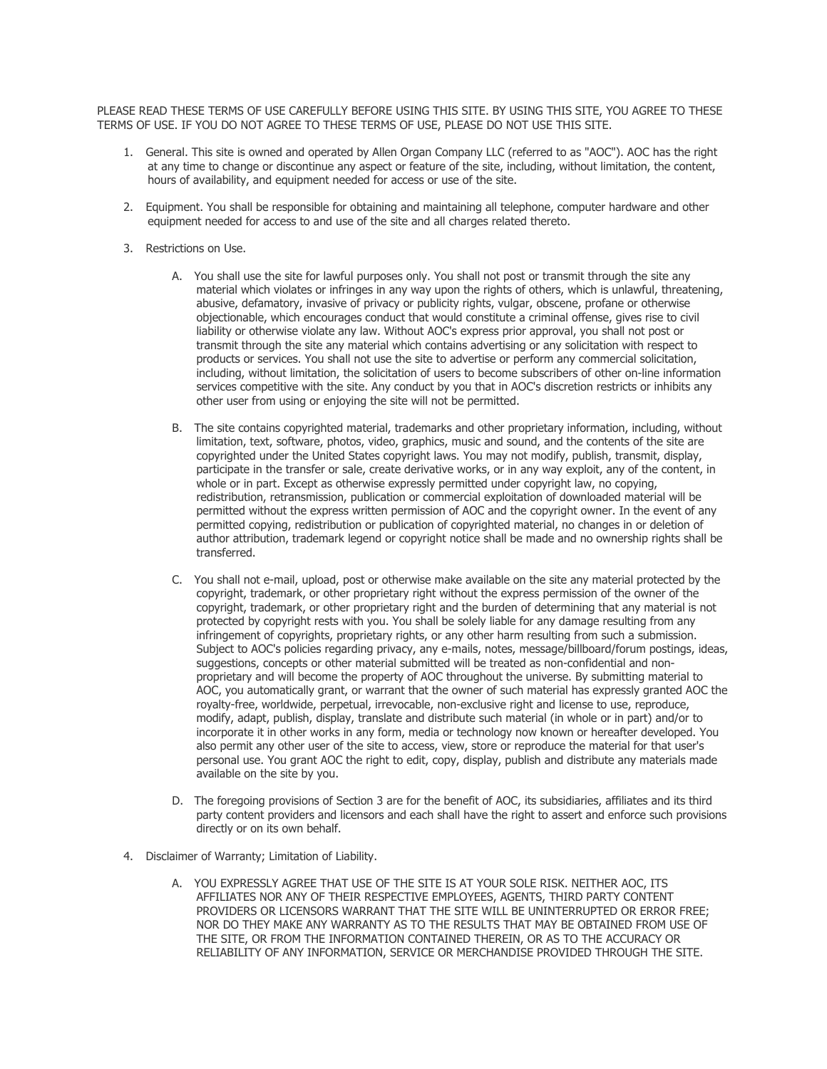PLEASE READ THESE TERMS OF USE CAREFULLY BEFORE USING THIS SITE. BY USING THIS SITE, YOU AGREE TO THESE TERMS OF USE. IF YOU DO NOT AGREE TO THESE TERMS OF USE, PLEASE DO NOT USE THIS SITE.

- 1. General. This site is owned and operated by Allen Organ Company LLC (referred to as "AOC"). AOC has the right at any time to change or discontinue any aspect or feature of the site, including, without limitation, the content, hours of availability, and equipment needed for access or use of the site.
- 2. Equipment. You shall be responsible for obtaining and maintaining all telephone, computer hardware and other equipment needed for access to and use of the site and all charges related thereto.
- 3. Restrictions on Use.
	- A. You shall use the site for lawful purposes only. You shall not post or transmit through the site any material which violates or infringes in any way upon the rights of others, which is unlawful, threatening, abusive, defamatory, invasive of privacy or publicity rights, vulgar, obscene, profane or otherwise objectionable, which encourages conduct that would constitute a criminal offense, gives rise to civil liability or otherwise violate any law. Without AOC's express prior approval, you shall not post or transmit through the site any material which contains advertising or any solicitation with respect to products or services. You shall not use the site to advertise or perform any commercial solicitation, including, without limitation, the solicitation of users to become subscribers of other on-line information services competitive with the site. Any conduct by you that in AOC's discretion restricts or inhibits any other user from using or enjoying the site will not be permitted.
	- B. The site contains copyrighted material, trademarks and other proprietary information, including, without limitation, text, software, photos, video, graphics, music and sound, and the contents of the site are copyrighted under the United States copyright laws. You may not modify, publish, transmit, display, participate in the transfer or sale, create derivative works, or in any way exploit, any of the content, in whole or in part. Except as otherwise expressly permitted under copyright law, no copying, redistribution, retransmission, publication or commercial exploitation of downloaded material will be permitted without the express written permission of AOC and the copyright owner. In the event of any permitted copying, redistribution or publication of copyrighted material, no changes in or deletion of author attribution, trademark legend or copyright notice shall be made and no ownership rights shall be transferred.
	- C. You shall not e-mail, upload, post or otherwise make available on the site any material protected by the copyright, trademark, or other proprietary right without the express permission of the owner of the copyright, trademark, or other proprietary right and the burden of determining that any material is not protected by copyright rests with you. You shall be solely liable for any damage resulting from any infringement of copyrights, proprietary rights, or any other harm resulting from such a submission. Subject to AOC's policies regarding privacy, any e-mails, notes, message/billboard/forum postings, ideas, suggestions, concepts or other material submitted will be treated as non-confidential and nonproprietary and will become the property of AOC throughout the universe. By submitting material to AOC, you automatically grant, or warrant that the owner of such material has expressly granted AOC the royalty-free, worldwide, perpetual, irrevocable, non-exclusive right and license to use, reproduce, modify, adapt, publish, display, translate and distribute such material (in whole or in part) and/or to incorporate it in other works in any form, media or technology now known or hereafter developed. You also permit any other user of the site to access, view, store or reproduce the material for that user's personal use. You grant AOC the right to edit, copy, display, publish and distribute any materials made available on the site by you.
	- D. The foregoing provisions of Section 3 are for the benefit of AOC, its subsidiaries, affiliates and its third party content providers and licensors and each shall have the right to assert and enforce such provisions directly or on its own behalf.
- 4. Disclaimer of Warranty; Limitation of Liability.
	- A. YOU EXPRESSLY AGREE THAT USE OF THE SITE IS AT YOUR SOLE RISK. NEITHER AOC, ITS AFFILIATES NOR ANY OF THEIR RESPECTIVE EMPLOYEES, AGENTS, THIRD PARTY CONTENT PROVIDERS OR LICENSORS WARRANT THAT THE SITE WILL BE UNINTERRUPTED OR ERROR FREE; NOR DO THEY MAKE ANY WARRANTY AS TO THE RESULTS THAT MAY BE OBTAINED FROM USE OF THE SITE, OR FROM THE INFORMATION CONTAINED THEREIN, OR AS TO THE ACCURACY OR RELIABILITY OF ANY INFORMATION, SERVICE OR MERCHANDISE PROVIDED THROUGH THE SITE.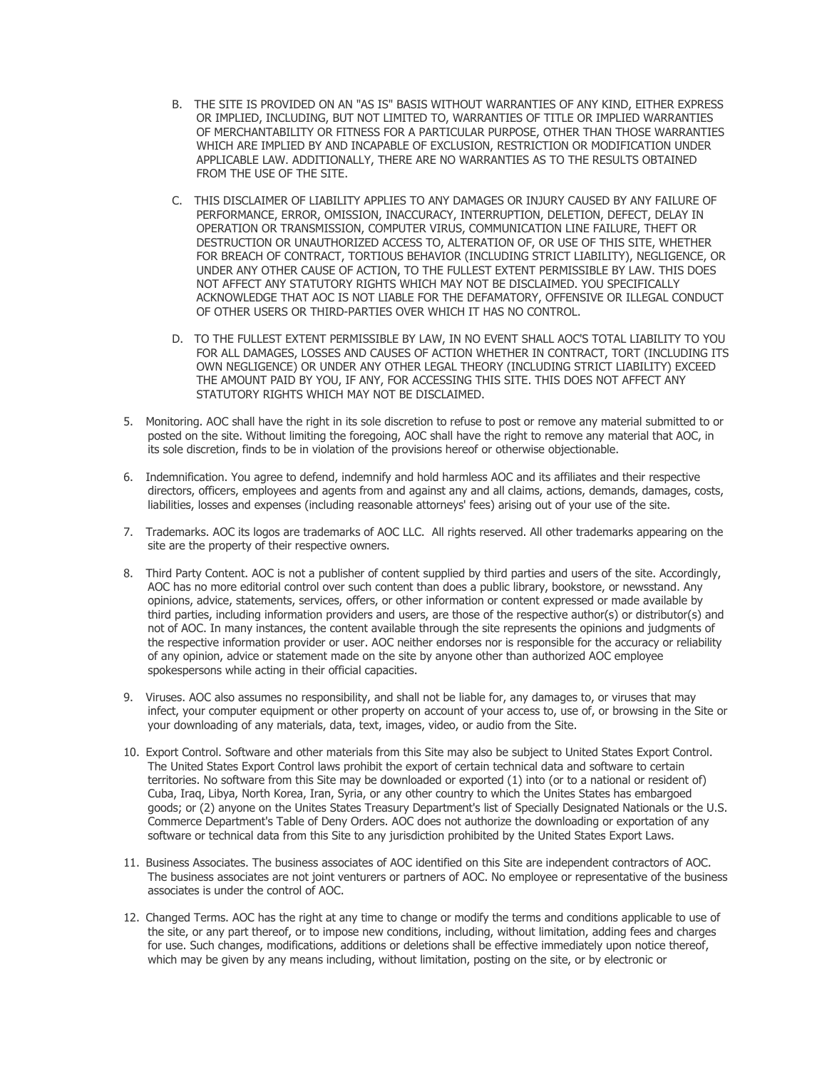- B. THE SITE IS PROVIDED ON AN "AS IS" BASIS WITHOUT WARRANTIES OF ANY KIND, EITHER EXPRESS OR IMPLIED, INCLUDING, BUT NOT LIMITED TO, WARRANTIES OF TITLE OR IMPLIED WARRANTIES OF MERCHANTABILITY OR FITNESS FOR A PARTICULAR PURPOSE, OTHER THAN THOSE WARRANTIES WHICH ARE IMPLIED BY AND INCAPABLE OF EXCLUSION, RESTRICTION OR MODIFICATION UNDER APPLICABLE LAW. ADDITIONALLY, THERE ARE NO WARRANTIES AS TO THE RESULTS OBTAINED FROM THE USE OF THE SITE.
- C. THIS DISCLAIMER OF LIABILITY APPLIES TO ANY DAMAGES OR INJURY CAUSED BY ANY FAILURE OF PERFORMANCE, ERROR, OMISSION, INACCURACY, INTERRUPTION, DELETION, DEFECT, DELAY IN OPERATION OR TRANSMISSION, COMPUTER VIRUS, COMMUNICATION LINE FAILURE, THEFT OR DESTRUCTION OR UNAUTHORIZED ACCESS TO, ALTERATION OF, OR USE OF THIS SITE, WHETHER FOR BREACH OF CONTRACT, TORTIOUS BEHAVIOR (INCLUDING STRICT LIABILITY), NEGLIGENCE, OR UNDER ANY OTHER CAUSE OF ACTION, TO THE FULLEST EXTENT PERMISSIBLE BY LAW. THIS DOES NOT AFFECT ANY STATUTORY RIGHTS WHICH MAY NOT BE DISCLAIMED. YOU SPECIFICALLY ACKNOWLEDGE THAT AOC IS NOT LIABLE FOR THE DEFAMATORY, OFFENSIVE OR ILLEGAL CONDUCT OF OTHER USERS OR THIRD-PARTIES OVER WHICH IT HAS NO CONTROL.
- D. TO THE FULLEST EXTENT PERMISSIBLE BY LAW, IN NO EVENT SHALL AOC'S TOTAL LIABILITY TO YOU FOR ALL DAMAGES, LOSSES AND CAUSES OF ACTION WHETHER IN CONTRACT, TORT (INCLUDING ITS OWN NEGLIGENCE) OR UNDER ANY OTHER LEGAL THEORY (INCLUDING STRICT LIABILITY) EXCEED THE AMOUNT PAID BY YOU, IF ANY, FOR ACCESSING THIS SITE. THIS DOES NOT AFFECT ANY STATUTORY RIGHTS WHICH MAY NOT BE DISCLAIMED.
- 5. Monitoring. AOC shall have the right in its sole discretion to refuse to post or remove any material submitted to or posted on the site. Without limiting the foregoing, AOC shall have the right to remove any material that AOC, in its sole discretion, finds to be in violation of the provisions hereof or otherwise objectionable.
- 6. Indemnification. You agree to defend, indemnify and hold harmless AOC and its affiliates and their respective directors, officers, employees and agents from and against any and all claims, actions, demands, damages, costs, liabilities, losses and expenses (including reasonable attorneys' fees) arising out of your use of the site.
- 7. Trademarks. AOC its logos are trademarks of AOC LLC. All rights reserved. All other trademarks appearing on the site are the property of their respective owners.
- 8. Third Party Content. AOC is not a publisher of content supplied by third parties and users of the site. Accordingly, AOC has no more editorial control over such content than does a public library, bookstore, or newsstand. Any opinions, advice, statements, services, offers, or other information or content expressed or made available by third parties, including information providers and users, are those of the respective author(s) or distributor(s) and not of AOC. In many instances, the content available through the site represents the opinions and judgments of the respective information provider or user. AOC neither endorses nor is responsible for the accuracy or reliability of any opinion, advice or statement made on the site by anyone other than authorized AOC employee spokespersons while acting in their official capacities.
- 9. Viruses. AOC also assumes no responsibility, and shall not be liable for, any damages to, or viruses that may infect, your computer equipment or other property on account of your access to, use of, or browsing in the Site or your downloading of any materials, data, text, images, video, or audio from the Site.
- 10. Export Control. Software and other materials from this Site may also be subject to United States Export Control. The United States Export Control laws prohibit the export of certain technical data and software to certain territories. No software from this Site may be downloaded or exported (1) into (or to a national or resident of) Cuba, Iraq, Libya, North Korea, Iran, Syria, or any other country to which the Unites States has embargoed goods; or (2) anyone on the Unites States Treasury Department's list of Specially Designated Nationals or the U.S. Commerce Department's Table of Deny Orders. AOC does not authorize the downloading or exportation of any software or technical data from this Site to any jurisdiction prohibited by the United States Export Laws.
- 11. Business Associates. The business associates of AOC identified on this Site are independent contractors of AOC. The business associates are not joint venturers or partners of AOC. No employee or representative of the business associates is under the control of AOC.
- 12. Changed Terms. AOC has the right at any time to change or modify the terms and conditions applicable to use of the site, or any part thereof, or to impose new conditions, including, without limitation, adding fees and charges for use. Such changes, modifications, additions or deletions shall be effective immediately upon notice thereof, which may be given by any means including, without limitation, posting on the site, or by electronic or